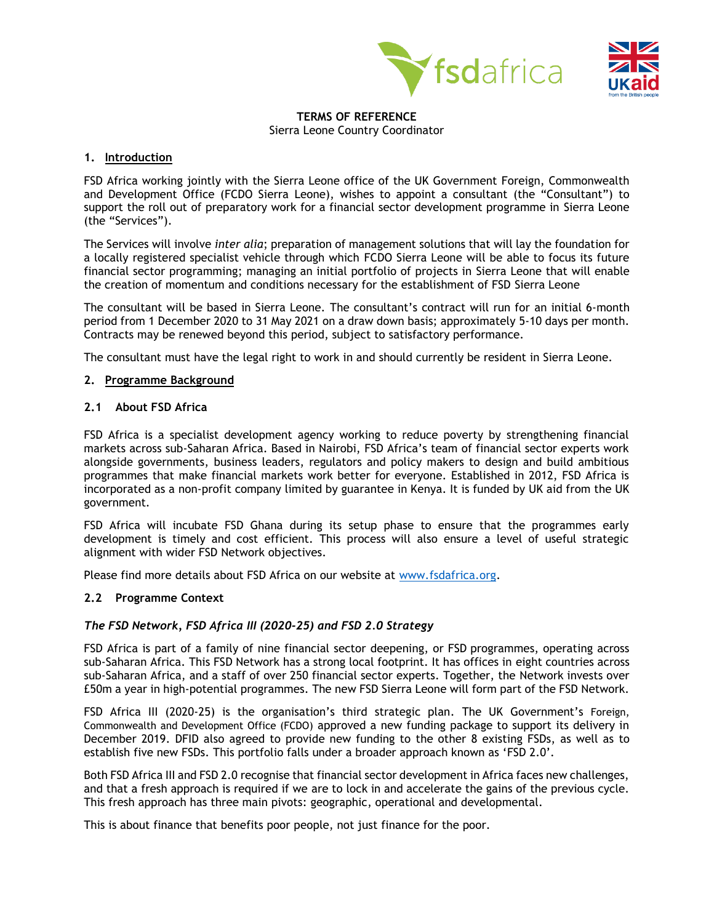



#### **TERMS OF REFERENCE** Sierra Leone Country Coordinator

## **1. Introduction**

FSD Africa working jointly with the Sierra Leone office of the UK Government Foreign, Commonwealth and Development Office (FCDO Sierra Leone), wishes to appoint a consultant (the "Consultant") to support the roll out of preparatory work for a financial sector development programme in Sierra Leone (the "Services").

The Services will involve *inter alia*; preparation of management solutions that will lay the foundation for a locally registered specialist vehicle through which FCDO Sierra Leone will be able to focus its future financial sector programming; managing an initial portfolio of projects in Sierra Leone that will enable the creation of momentum and conditions necessary for the establishment of FSD Sierra Leone

The consultant will be based in Sierra Leone. The consultant's contract will run for an initial 6-month period from 1 December 2020 to 31 May 2021 on a draw down basis; approximately 5-10 days per month. Contracts may be renewed beyond this period, subject to satisfactory performance.

The consultant must have the legal right to work in and should currently be resident in Sierra Leone.

## **2. Programme Background**

## **2.1 About FSD Africa**

FSD Africa is a specialist development agency working to reduce poverty by strengthening financial markets across sub-Saharan Africa. Based in Nairobi, FSD Africa's team of financial sector experts work alongside governments, business leaders, regulators and policy makers to design and build ambitious programmes that make financial markets work better for everyone. Established in 2012, FSD Africa is incorporated as a non-profit company limited by guarantee in Kenya. It is funded by UK aid from the UK government.

FSD Africa will incubate FSD Ghana during its setup phase to ensure that the programmes early development is timely and cost efficient. This process will also ensure a level of useful strategic alignment with wider FSD Network objectives.

Please find more details about FSD Africa on our website at [www.fsdafrica.org.](http://www.fsdafrica.org/)

#### **2.2 Programme Context**

#### *The FSD Network, FSD Africa III (2020-25) and FSD 2.0 Strategy*

FSD Africa is part of a family of nine financial sector deepening, or FSD programmes, operating across sub-Saharan Africa. This FSD Network has a strong local footprint. It has offices in eight countries across sub-Saharan Africa, and a staff of over 250 financial sector experts. Together, the Network invests over £50m a year in high-potential programmes. The new FSD Sierra Leone will form part of the FSD Network.

FSD Africa III (2020-25) is the organisation's third strategic plan. The UK Government's Foreign, Commonwealth and Development Office (FCDO) approved a new funding package to support its delivery in December 2019. DFID also agreed to provide new funding to the other 8 existing FSDs, as well as to establish five new FSDs. This portfolio falls under a broader approach known as 'FSD 2.0'.

Both FSD Africa III and FSD 2.0 recognise that financial sector development in Africa faces new challenges, and that a fresh approach is required if we are to lock in and accelerate the gains of the previous cycle. This fresh approach has three main pivots: geographic, operational and developmental.

This is about finance that benefits poor people, not just finance for the poor.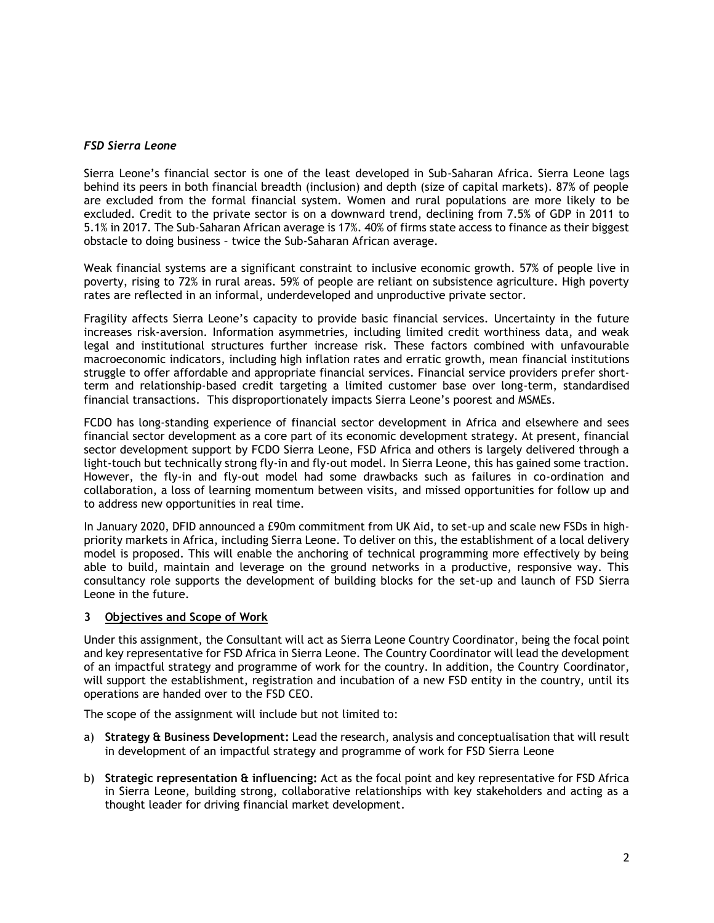#### *FSD Sierra Leone*

Sierra Leone's financial sector is one of the least developed in Sub-Saharan Africa. Sierra Leone lags behind its peers in both financial breadth (inclusion) and depth (size of capital markets). 87% of people are excluded from the formal financial system. Women and rural populations are more likely to be excluded. Credit to the private sector is on a downward trend, declining from 7.5% of GDP in 2011 to 5.1% in 2017. The Sub-Saharan African average is 17%. 40% of firms state access to finance as their biggest obstacle to doing business – twice the Sub-Saharan African average.

Weak financial systems are a significant constraint to inclusive economic growth. 57% of people live in poverty, rising to 72% in rural areas. 59% of people are reliant on subsistence agriculture. High poverty rates are reflected in an informal, underdeveloped and unproductive private sector.

Fragility affects Sierra Leone's capacity to provide basic financial services. Uncertainty in the future increases risk-aversion. Information asymmetries, including limited credit worthiness data, and weak legal and institutional structures further increase risk. These factors combined with unfavourable macroeconomic indicators, including high inflation rates and erratic growth, mean financial institutions struggle to offer affordable and appropriate financial services. Financial service providers prefer shortterm and relationship-based credit targeting a limited customer base over long-term, standardised financial transactions. This disproportionately impacts Sierra Leone's poorest and MSMEs.

FCDO has long-standing experience of financial sector development in Africa and elsewhere and sees financial sector development as a core part of its economic development strategy. At present, financial sector development support by FCDO Sierra Leone, FSD Africa and others is largely delivered through a light-touch but technically strong fly-in and fly-out model. In Sierra Leone, this has gained some traction. However, the fly-in and fly-out model had some drawbacks such as failures in co-ordination and collaboration, a loss of learning momentum between visits, and missed opportunities for follow up and to address new opportunities in real time.

In January 2020, DFID announced a £90m commitment from UK Aid, to set-up and scale new FSDs in highpriority markets in Africa, including Sierra Leone. To deliver on this, the establishment of a local delivery model is proposed. This will enable the anchoring of technical programming more effectively by being able to build, maintain and leverage on the ground networks in a productive, responsive way. This consultancy role supports the development of building blocks for the set-up and launch of FSD Sierra Leone in the future.

#### **3 Objectives and Scope of Work**

Under this assignment, the Consultant will act as Sierra Leone Country Coordinator, being the focal point and key representative for FSD Africa in Sierra Leone. The Country Coordinator will lead the development of an impactful strategy and programme of work for the country. In addition, the Country Coordinator, will support the establishment, registration and incubation of a new FSD entity in the country, until its operations are handed over to the FSD CEO.

The scope of the assignment will include but not limited to:

- a) **Strategy & Business Development:** Lead the research, analysis and conceptualisation that will result in development of an impactful strategy and programme of work for FSD Sierra Leone
- b) **Strategic representation & influencing:** Act as the focal point and key representative for FSD Africa in Sierra Leone, building strong, collaborative relationships with key stakeholders and acting as a thought leader for driving financial market development.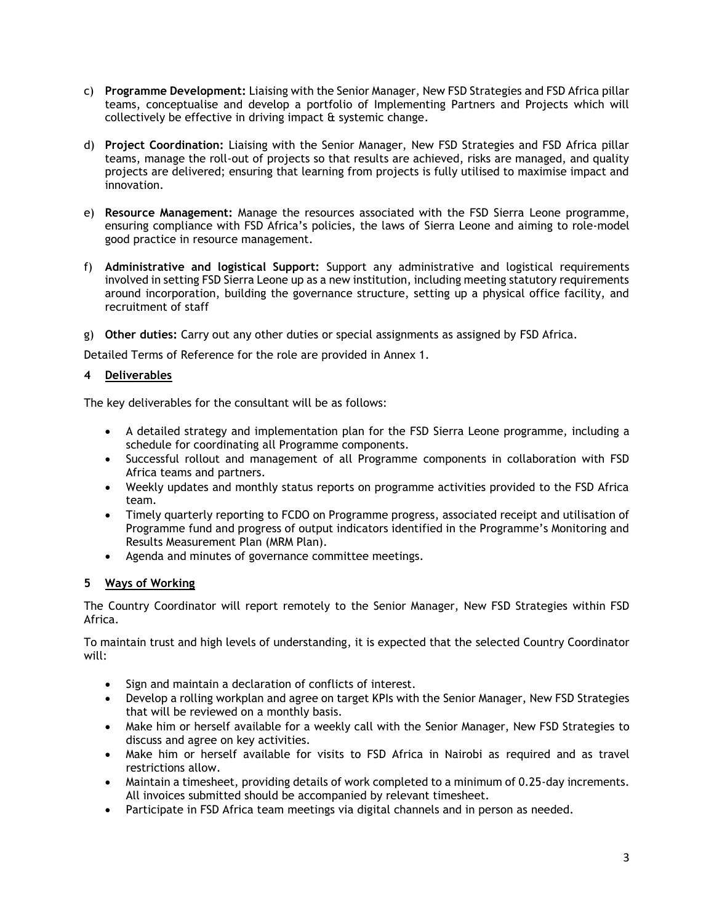- c) **Programme Development:** Liaising with the Senior Manager, New FSD Strategies and FSD Africa pillar teams, conceptualise and develop a portfolio of Implementing Partners and Projects which will collectively be effective in driving impact & systemic change.
- d) **Project Coordination:** Liaising with the Senior Manager, New FSD Strategies and FSD Africa pillar teams, manage the roll-out of projects so that results are achieved, risks are managed, and quality projects are delivered; ensuring that learning from projects is fully utilised to maximise impact and innovation.
- e) **Resource Management:** Manage the resources associated with the FSD Sierra Leone programme, ensuring compliance with FSD Africa's policies, the laws of Sierra Leone and aiming to role-model good practice in resource management.
- f) **Administrative and logistical Support:** Support any administrative and logistical requirements involved in setting FSD Sierra Leone up as a new institution, including meeting statutory requirements around incorporation, building the governance structure, setting up a physical office facility, and recruitment of staff
- g) **Other duties:** Carry out any other duties or special assignments as assigned by FSD Africa.

Detailed Terms of Reference for the role are provided in Annex 1.

## **4 Deliverables**

The key deliverables for the consultant will be as follows:

- A detailed strategy and implementation plan for the FSD Sierra Leone programme, including a schedule for coordinating all Programme components.
- Successful rollout and management of all Programme components in collaboration with FSD Africa teams and partners.
- Weekly updates and monthly status reports on programme activities provided to the FSD Africa team.
- Timely quarterly reporting to FCDO on Programme progress, associated receipt and utilisation of Programme fund and progress of output indicators identified in the Programme's Monitoring and Results Measurement Plan (MRM Plan).
- Agenda and minutes of governance committee meetings.

# **5 Ways of Working**

The Country Coordinator will report remotely to the Senior Manager, New FSD Strategies within FSD Africa.

To maintain trust and high levels of understanding, it is expected that the selected Country Coordinator will:

- Sign and maintain a declaration of conflicts of interest.
- Develop a rolling workplan and agree on target KPIs with the Senior Manager, New FSD Strategies that will be reviewed on a monthly basis.
- Make him or herself available for a weekly call with the Senior Manager, New FSD Strategies to discuss and agree on key activities.
- Make him or herself available for visits to FSD Africa in Nairobi as required and as travel restrictions allow.
- Maintain a timesheet, providing details of work completed to a minimum of 0.25-day increments. All invoices submitted should be accompanied by relevant timesheet.
- Participate in FSD Africa team meetings via digital channels and in person as needed.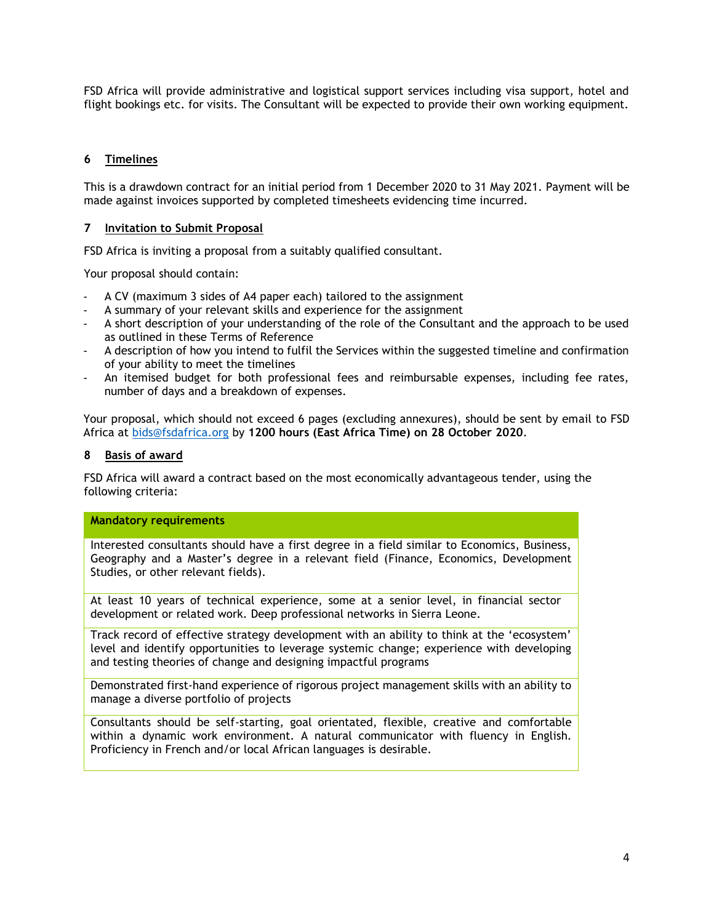FSD Africa will provide administrative and logistical support services including visa support, hotel and flight bookings etc. for visits. The Consultant will be expected to provide their own working equipment.

## **6 Timelines**

This is a drawdown contract for an initial period from 1 December 2020 to 31 May 2021. Payment will be made against invoices supported by completed timesheets evidencing time incurred.

## **7 Invitation to Submit Proposal**

FSD Africa is inviting a proposal from a suitably qualified consultant.

Your proposal should contain:

- A CV (maximum 3 sides of A4 paper each) tailored to the assignment
- A summary of your relevant skills and experience for the assignment
- A short description of your understanding of the role of the Consultant and the approach to be used as outlined in these Terms of Reference
- A description of how you intend to fulfil the Services within the suggested timeline and confirmation of your ability to meet the timelines
- An itemised budget for both professional fees and reimbursable expenses, including fee rates, number of days and a breakdown of expenses.

Your proposal, which should not exceed 6 pages (excluding annexures), should be sent by email to FSD Africa at [bids@fsdafrica.org](mailto:bids@fsdafrica.org) by **1200 hours (East Africa Time) on 28 October 2020**.

#### **8 Basis of award**

FSD Africa will award a contract based on the most economically advantageous tender, using the following criteria:

#### **Mandatory requirements**

Interested consultants should have a first degree in a field similar to Economics, Business, Geography and a Master's degree in a relevant field (Finance, Economics, Development Studies, or other relevant fields).

At least 10 years of technical experience, some at a senior level, in financial sector development or related work. Deep professional networks in Sierra Leone.

Track record of effective strategy development with an ability to think at the 'ecosystem' level and identify opportunities to leverage systemic change; experience with developing and testing theories of change and designing impactful programs

Demonstrated first-hand experience of rigorous project management skills with an ability to manage a diverse portfolio of projects

Consultants should be self-starting, goal orientated, flexible, creative and comfortable within a dynamic work environment. A natural communicator with fluency in English. Proficiency in French and/or local African languages is desirable.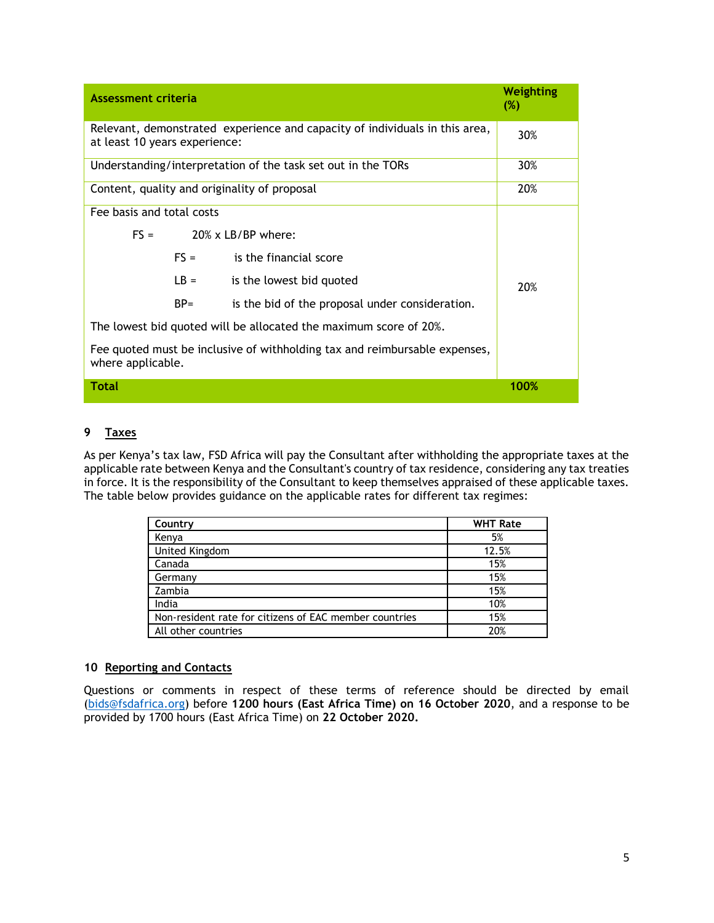| <b>Assessment criteria</b>                                                                                   | Weighting<br>$(\%)$ |                                                 |      |  |
|--------------------------------------------------------------------------------------------------------------|---------------------|-------------------------------------------------|------|--|
| Relevant, demonstrated experience and capacity of individuals in this area,<br>at least 10 years experience: | 30%                 |                                                 |      |  |
| Understanding/interpretation of the task set out in the TORs                                                 |                     |                                                 | 30%  |  |
| Content, quality and originality of proposal                                                                 |                     |                                                 | 20%  |  |
| Fee basis and total costs                                                                                    |                     |                                                 |      |  |
| $FS =$                                                                                                       |                     | $20\%$ x LB/BP where:                           |      |  |
|                                                                                                              | $FS =$              | is the financial score                          |      |  |
|                                                                                                              | $LB =$              | is the lowest bid quoted                        | 20%  |  |
|                                                                                                              | $BP =$              | is the bid of the proposal under consideration. |      |  |
| The lowest bid quoted will be allocated the maximum score of 20%.                                            |                     |                                                 |      |  |
| Fee quoted must be inclusive of withholding tax and reimbursable expenses,<br>where applicable.              |                     |                                                 |      |  |
| <b>Total</b>                                                                                                 |                     |                                                 | 100% |  |

## **9 Taxes**

As per Kenya's tax law, FSD Africa will pay the Consultant after withholding the appropriate taxes at the applicable rate between Kenya and the Consultant's country of tax residence, considering any tax treaties in force. It is the responsibility of the Consultant to keep themselves appraised of these applicable taxes. The table below provides guidance on the applicable rates for different tax regimes:

| Country                                                | <b>WHT Rate</b> |
|--------------------------------------------------------|-----------------|
| Kenya                                                  | 5%              |
| United Kingdom                                         | 12.5%           |
| Canada                                                 | 15%             |
| Germany                                                | 15%             |
| Zambia                                                 | 15%             |
| India                                                  | 10%             |
| Non-resident rate for citizens of EAC member countries | 15%             |
| All other countries                                    | 20%             |

#### **10 Reporting and Contacts**

Questions or comments in respect of these terms of reference should be directed by email [\(bids@fsdafrica.org\)](mailto:bids@fsdafrica.org) before **1200 hours (East Africa Time) on 16 October 2020**, and a response to be provided by 1700 hours (East Africa Time) on **22 October 2020.**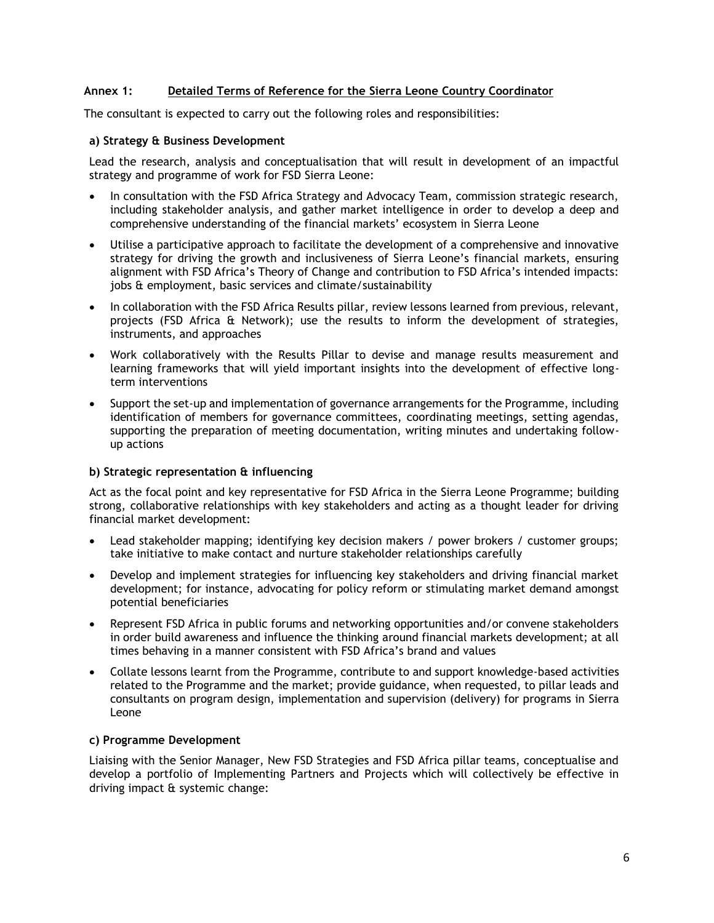## **Annex 1: Detailed Terms of Reference for the Sierra Leone Country Coordinator**

The consultant is expected to carry out the following roles and responsibilities:

#### **a) Strategy & Business Development**

Lead the research, analysis and conceptualisation that will result in development of an impactful strategy and programme of work for FSD Sierra Leone:

- In consultation with the FSD Africa Strategy and Advocacy Team, commission strategic research, including stakeholder analysis, and gather market intelligence in order to develop a deep and comprehensive understanding of the financial markets' ecosystem in Sierra Leone
- Utilise a participative approach to facilitate the development of a comprehensive and innovative strategy for driving the growth and inclusiveness of Sierra Leone's financial markets, ensuring alignment with FSD Africa's Theory of Change and contribution to FSD Africa's intended impacts: jobs & employment, basic services and climate/sustainability
- In collaboration with the FSD Africa Results pillar, review lessons learned from previous, relevant, projects (FSD Africa & Network); use the results to inform the development of strategies, instruments, and approaches
- Work collaboratively with the Results Pillar to devise and manage results measurement and learning frameworks that will yield important insights into the development of effective longterm interventions
- Support the set-up and implementation of governance arrangements for the Programme, including identification of members for governance committees, coordinating meetings, setting agendas, supporting the preparation of meeting documentation, writing minutes and undertaking followup actions

#### **b) Strategic representation & influencing**

Act as the focal point and key representative for FSD Africa in the Sierra Leone Programme; building strong, collaborative relationships with key stakeholders and acting as a thought leader for driving financial market development:

- Lead stakeholder mapping; identifying key decision makers / power brokers / customer groups; take initiative to make contact and nurture stakeholder relationships carefully
- Develop and implement strategies for influencing key stakeholders and driving financial market development; for instance, advocating for policy reform or stimulating market demand amongst potential beneficiaries
- Represent FSD Africa in public forums and networking opportunities and/or convene stakeholders in order build awareness and influence the thinking around financial markets development; at all times behaving in a manner consistent with FSD Africa's brand and values
- Collate lessons learnt from the Programme, contribute to and support knowledge-based activities related to the Programme and the market; provide guidance, when requested, to pillar leads and consultants on program design, implementation and supervision (delivery) for programs in Sierra Leone

#### **c) Programme Development**

Liaising with the Senior Manager, New FSD Strategies and FSD Africa pillar teams, conceptualise and develop a portfolio of Implementing Partners and Projects which will collectively be effective in driving impact & systemic change: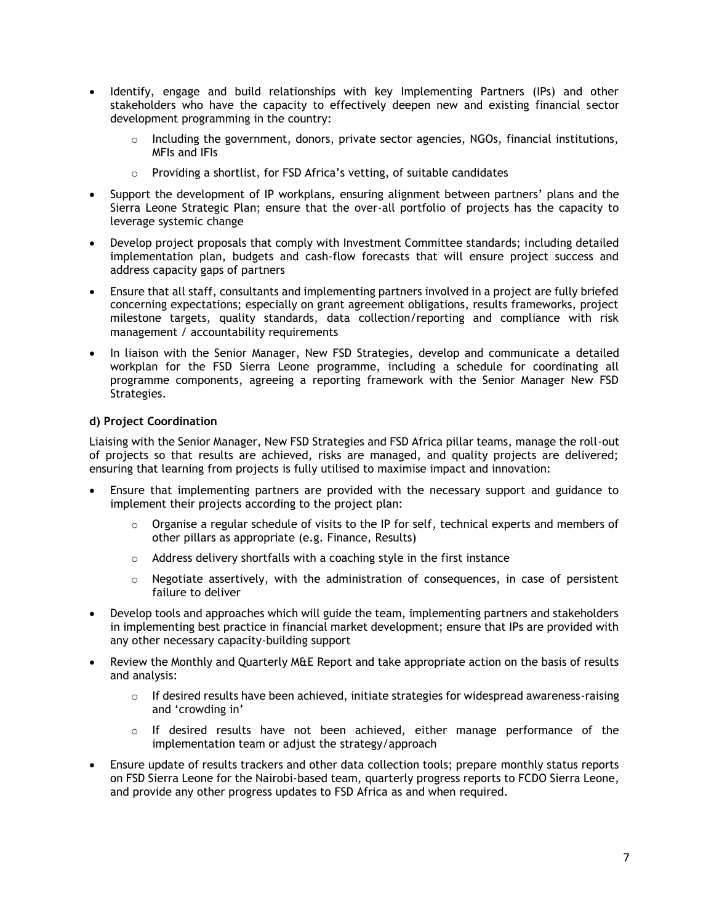- Identify, engage and build relationships with key Implementing Partners (IPs) and other stakeholders who have the capacity to effectively deepen new and existing financial sector development programming in the country:
	- $\circ$  Including the government, donors, private sector agencies, NGOs, financial institutions, MFIs and IFIs
	- o Providing a shortlist, for FSD Africa's vetting, of suitable candidates
- Support the development of IP workplans, ensuring alignment between partners' plans and the Sierra Leone Strategic Plan; ensure that the over-all portfolio of projects has the capacity to leverage systemic change
- Develop project proposals that comply with Investment Committee standards; including detailed implementation plan, budgets and cash-flow forecasts that will ensure project success and address capacity gaps of partners
- Ensure that all staff, consultants and implementing partners involved in a project are fully briefed concerning expectations; especially on grant agreement obligations, results frameworks, project milestone targets, quality standards, data collection/reporting and compliance with risk management / accountability requirements
- In liaison with the Senior Manager, New FSD Strategies, develop and communicate a detailed workplan for the FSD Sierra Leone programme, including a schedule for coordinating all programme components, agreeing a reporting framework with the Senior Manager New FSD Strategies.

## **d) Project Coordination**

Liaising with the Senior Manager, New FSD Strategies and FSD Africa pillar teams, manage the roll-out of projects so that results are achieved, risks are managed, and quality projects are delivered; ensuring that learning from projects is fully utilised to maximise impact and innovation:

- Ensure that implementing partners are provided with the necessary support and guidance to implement their projects according to the project plan:
	- $\circ$  Organise a regular schedule of visits to the IP for self, technical experts and members of other pillars as appropriate (e.g. Finance, Results)
	- o Address delivery shortfalls with a coaching style in the first instance
	- $\circ$  Negotiate assertively, with the administration of consequences, in case of persistent failure to deliver
- Develop tools and approaches which will guide the team, implementing partners and stakeholders in implementing best practice in financial market development; ensure that IPs are provided with any other necessary capacity-building support
- Review the Monthly and Quarterly M&E Report and take appropriate action on the basis of results and analysis:
	- $\circ$  If desired results have been achieved, initiate strategies for widespread awareness-raising and 'crowding in'
	- o If desired results have not been achieved, either manage performance of the implementation team or adjust the strategy/approach
- Ensure update of results trackers and other data collection tools; prepare monthly status reports on FSD Sierra Leone for the Nairobi-based team, quarterly progress reports to FCDO Sierra Leone, and provide any other progress updates to FSD Africa as and when required.